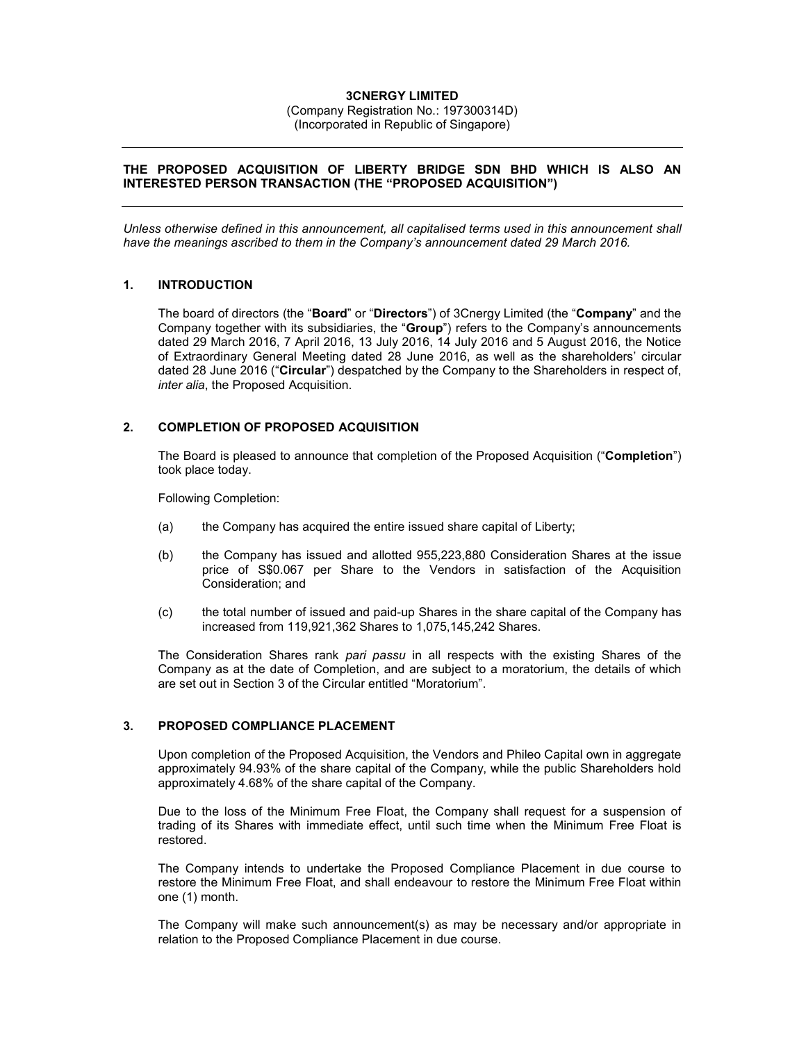# **3CNERGY LIMITED**

(Company Registration No.: 197300314D) (Incorporated in Republic of Singapore)

# **THE PROPOSED ACQUISITION OF LIBERTY BRIDGE SDN BHD WHICH IS ALSO AN INTERESTED PERSON TRANSACTION (THE "PROPOSED ACQUISITION")**

*Unless otherwise defined in this announcement, all capitalised terms used in this announcement shall have the meanings ascribed to them in the Company's announcement dated 29 March 2016.* 

# **1. INTRODUCTION**

The board of directors (the "**Board**" or "**Directors**") of 3Cnergy Limited (the "**Company**" and the Company together with its subsidiaries, the "**Group**") refers to the Company's announcements dated 29 March 2016, 7 April 2016, 13 July 2016, 14 July 2016 and 5 August 2016, the Notice of Extraordinary General Meeting dated 28 June 2016, as well as the shareholders' circular dated 28 June 2016 ("**Circular**") despatched by the Company to the Shareholders in respect of, *inter alia*, the Proposed Acquisition.

# **2. COMPLETION OF PROPOSED ACQUISITION**

The Board is pleased to announce that completion of the Proposed Acquisition ("**Completion**") took place today.

Following Completion:

- (a) the Company has acquired the entire issued share capital of Liberty;
- (b) the Company has issued and allotted 955,223,880 Consideration Shares at the issue price of S\$0.067 per Share to the Vendors in satisfaction of the Acquisition Consideration; and
- (c) the total number of issued and paid-up Shares in the share capital of the Company has increased from 119,921,362 Shares to 1,075,145,242 Shares.

The Consideration Shares rank *pari passu* in all respects with the existing Shares of the Company as at the date of Completion, and are subject to a moratorium, the details of which are set out in Section 3 of the Circular entitled "Moratorium".

#### **3. PROPOSED COMPLIANCE PLACEMENT**

Upon completion of the Proposed Acquisition, the Vendors and Phileo Capital own in aggregate approximately 94.93% of the share capital of the Company, while the public Shareholders hold approximately 4.68% of the share capital of the Company.

Due to the loss of the Minimum Free Float, the Company shall request for a suspension of trading of its Shares with immediate effect, until such time when the Minimum Free Float is restored.

The Company intends to undertake the Proposed Compliance Placement in due course to restore the Minimum Free Float, and shall endeavour to restore the Minimum Free Float within one (1) month.

The Company will make such announcement(s) as may be necessary and/or appropriate in relation to the Proposed Compliance Placement in due course.